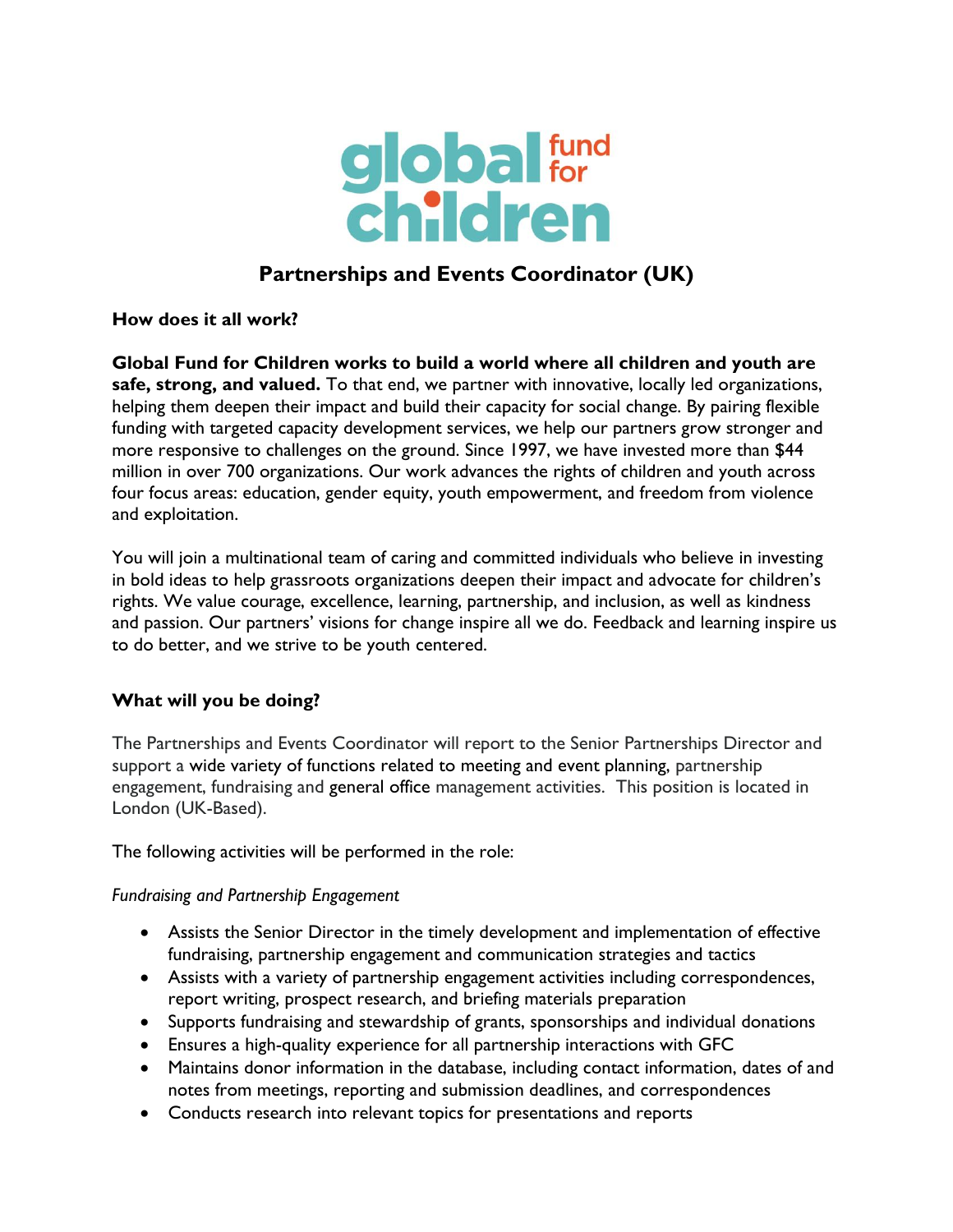

# **Partnerships and Events Coordinator (UK)**

**How does it all work?**

**Global Fund for Children works to build a world where all children and youth are safe, strong, and valued.** To that end, we partner with innovative, locally led organizations, helping them deepen their impact and build their capacity for social change. By pairing flexible funding with targeted capacity development services, we help our partners grow stronger and more responsive to challenges on the ground. Since 1997, we have invested more than \$44 million in over 700 organizations. Our work advances the rights of children and youth across four focus areas: education, gender equity, youth empowerment, and freedom from violence and exploitation.

You will join a multinational team of caring and committed individuals who believe in investing in bold ideas to help grassroots organizations deepen their impact and advocate for children's rights. We value courage, excellence, learning, partnership, and inclusion, as well as kindness and passion. Our partners' visions for change inspire all we do. Feedback and learning inspire us to do better, and we strive to be youth centered.

## **What will you be doing?**

The Partnerships and Events Coordinator will report to the Senior Partnerships Director and support a wide variety of functions related to meeting and event planning, partnership engagement, fundraising and general office management activities. This position is located in London (UK-Based).

The following activities will be performed in the role:

*Fundraising and Partnership Engagement* 

- Assists the Senior Director in the timely development and implementation of effective fundraising, partnership engagement and communication strategies and tactics
- Assists with a variety of partnership engagement activities including correspondences, report writing, prospect research, and briefing materials preparation
- Supports fundraising and stewardship of grants, sponsorships and individual donations
- Ensures a high-quality experience for all partnership interactions with GFC
- Maintains donor information in the database, including contact information, dates of and notes from meetings, reporting and submission deadlines, and correspondences
- Conducts research into relevant topics for presentations and reports